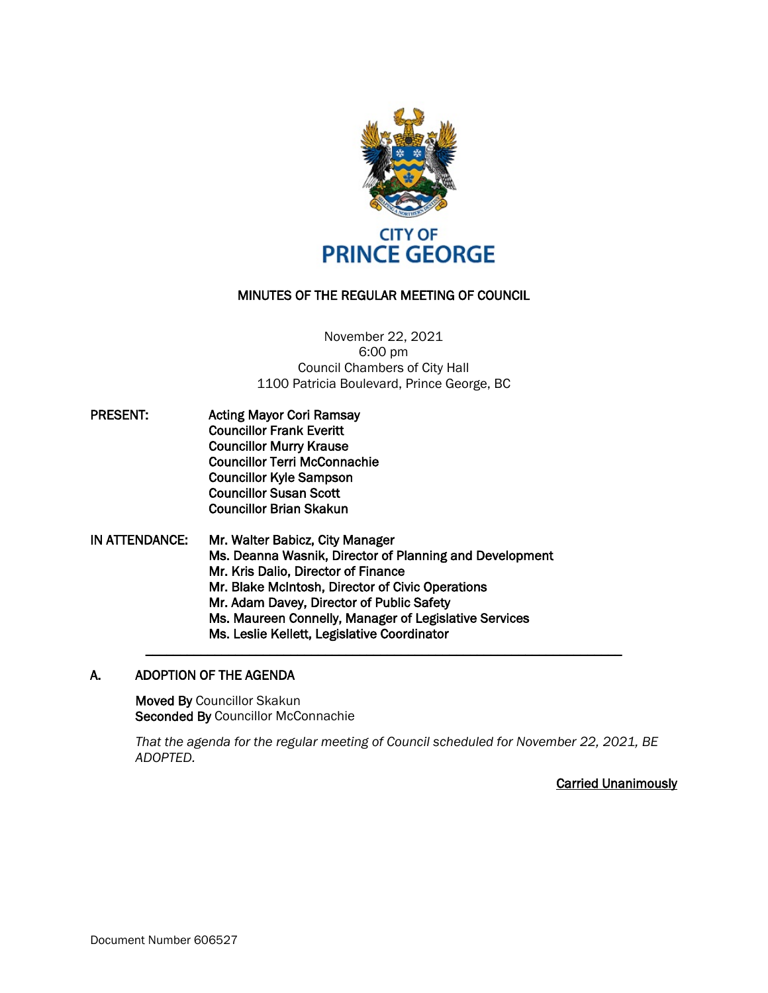

# MINUTES OF THE REGULAR MEETING OF COUNCIL

November 22, 2021 6:00 pm Council Chambers of City Hall 1100 Patricia Boulevard, Prince George, BC

- PRESENT: Acting Mayor Cori Ramsay Councillor Frank Everitt Councillor Murry Krause Councillor Terri McConnachie Councillor Kyle Sampson Councillor Susan Scott Councillor Brian Skakun
- IN ATTENDANCE: Mr. Walter Babicz, City Manager Ms. Deanna Wasnik, Director of Planning and Development Mr. Kris Dalio, Director of Finance Mr. Blake McIntosh, Director of Civic Operations Mr. Adam Davey, Director of Public Safety Ms. Maureen Connelly, Manager of Legislative Services Ms. Leslie Kellett, Legislative Coordinator \_\_\_\_\_\_\_\_\_\_\_\_\_\_\_\_\_\_\_\_\_\_\_\_\_\_\_\_\_\_\_\_\_\_\_\_\_\_\_\_\_\_\_\_\_\_\_\_\_\_\_\_\_\_\_\_\_\_\_\_\_\_\_\_\_\_\_\_\_

#### A. ADOPTION OF THE AGENDA

Moved By Councillor Skakun Seconded By Councillor McConnachie

*That the agenda for the regular meeting of Council scheduled for November 22, 2021, BE ADOPTED.*

Carried Unanimously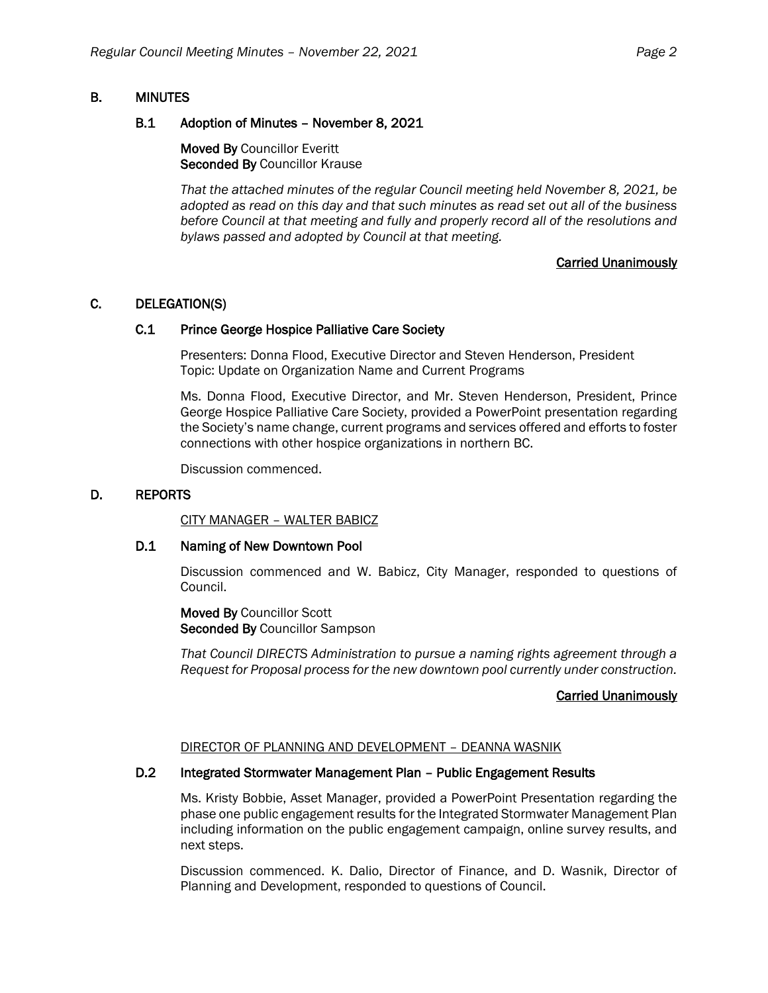# B. MINUTES

### B.1 Adoption of Minutes – November 8, 2021

Moved By Councillor Everitt Seconded By Councillor Krause

*That the attached minutes of the regular Council meeting held November 8, 2021, be adopted as read on this day and that such minutes as read set out all of the business before Council at that meeting and fully and properly record all of the resolutions and bylaws passed and adopted by Council at that meeting.*

# Carried Unanimously

# C. DELEGATION(S)

#### C.1 Prince George Hospice Palliative Care Society

Presenters: Donna Flood, Executive Director and Steven Henderson, President Topic: Update on Organization Name and Current Programs

Ms. Donna Flood, Executive Director, and Mr. Steven Henderson, President, Prince George Hospice Palliative Care Society, provided a PowerPoint presentation regarding the Society's name change, current programs and services offered and efforts to foster connections with other hospice organizations in northern BC.

Discussion commenced.

### D. REPORTS

CITY MANAGER – WALTER BABICZ

#### D.1 Naming of New Downtown Pool

Discussion commenced and W. Babicz, City Manager, responded to questions of Council.

Moved By Councillor Scott Seconded By Councillor Sampson

*That Council DIRECTS Administration to pursue a naming rights agreement through a Request for Proposal process for the new downtown pool currently under construction.*

#### Carried Unanimously

#### DIRECTOR OF PLANNING AND DEVELOPMENT – DEANNA WASNIK

### D.2 Integrated Stormwater Management Plan - Public Engagement Results

Ms. Kristy Bobbie, Asset Manager, provided a PowerPoint Presentation regarding the phase one public engagement results for the Integrated Stormwater Management Plan including information on the public engagement campaign, online survey results, and next steps.

Discussion commenced. K. Dalio, Director of Finance, and D. Wasnik, Director of Planning and Development, responded to questions of Council.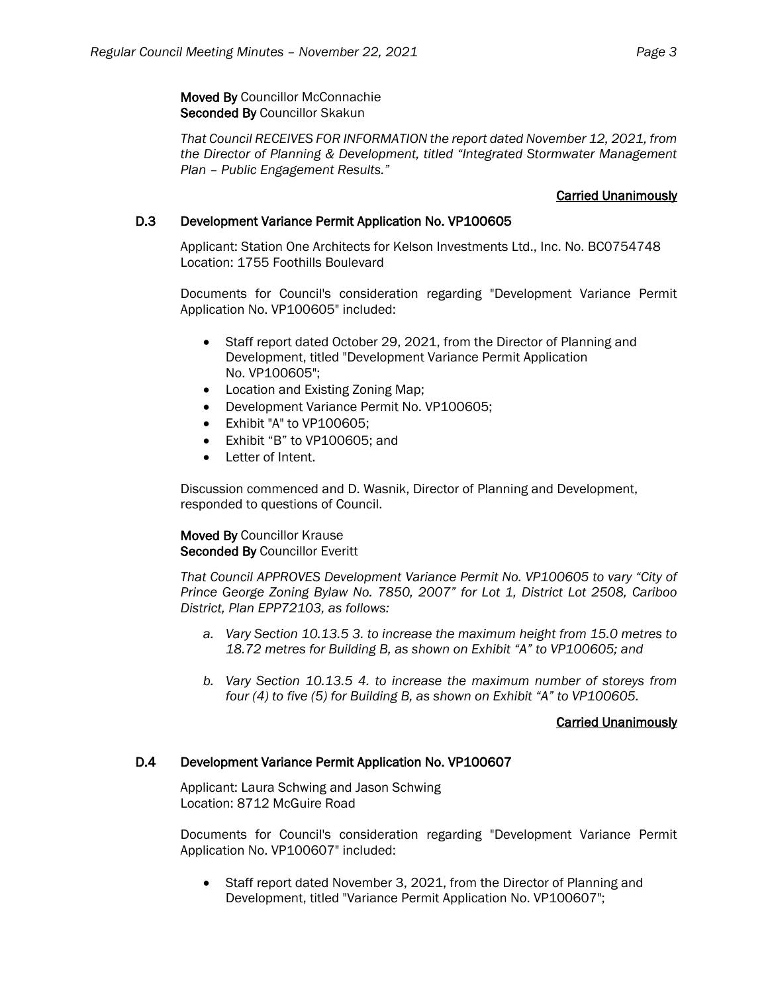Moved By Councillor McConnachie Seconded By Councillor Skakun

*That Council RECEIVES FOR INFORMATION the report dated November 12, 2021, from the Director of Planning & Development, titled "Integrated Stormwater Management Plan – Public Engagement Results."*

### Carried Unanimously

### D.3 Development Variance Permit Application No. VP100605

Applicant: Station One Architects for Kelson Investments Ltd., Inc. No. BC0754748 Location: 1755 Foothills Boulevard

Documents for Council's consideration regarding "Development Variance Permit Application No. VP100605" included:

- Staff report dated October 29, 2021, from the Director of Planning and Development, titled "Development Variance Permit Application No. VP100605";
- Location and Existing Zoning Map;
- Development Variance Permit No. VP100605;
- Exhibit "A" to VP100605;
- Exhibit "B" to VP100605; and
- Letter of Intent.

Discussion commenced and D. Wasnik, Director of Planning and Development, responded to questions of Council.

#### Moved By Councillor Krause Seconded By Councillor Everitt

*That Council APPROVES Development Variance Permit No. VP100605 to vary "City of Prince George Zoning Bylaw No. 7850, 2007" for Lot 1, District Lot 2508, Cariboo District, Plan EPP72103, as follows:*

- *a. Vary Section 10.13.5 3. to increase the maximum height from 15.0 metres to 18.72 metres for Building B, as shown on Exhibit "A" to VP100605; and*
- *b. Vary Section 10.13.5 4. to increase the maximum number of storeys from four (4) to five (5) for Building B, as shown on Exhibit "A" to VP100605.*

#### Carried Unanimously

#### D.4 Development Variance Permit Application No. VP100607

Applicant: Laura Schwing and Jason Schwing Location: 8712 McGuire Road

Documents for Council's consideration regarding "Development Variance Permit Application No. VP100607" included:

• Staff report dated November 3, 2021, from the Director of Planning and Development, titled "Variance Permit Application No. VP100607";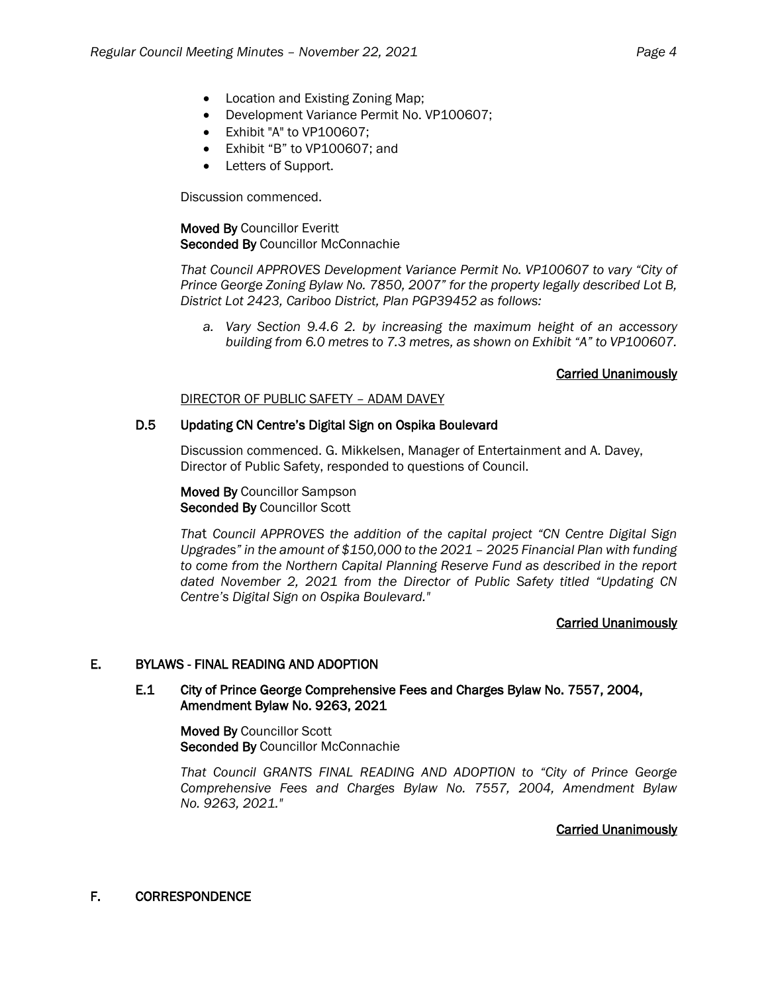- Location and Existing Zoning Map:
- Development Variance Permit No. VP100607;
- Exhibit "A" to VP100607;
- Exhibit "B" to VP100607; and
- Letters of Support.

Discussion commenced.

### Moved By Councillor Everitt Seconded By Councillor McConnachie

*That Council APPROVES Development Variance Permit No. VP100607 to vary "City of Prince George Zoning Bylaw No. 7850, 2007" for the property legally described Lot B, District Lot 2423, Cariboo District, Plan PGP39452 as follows:*

*a. Vary Section 9.4.6 2. by increasing the maximum height of an accessory building from 6.0 metres to 7.3 metres, as shown on Exhibit "A" to VP100607.*

#### Carried Unanimously

#### DIRECTOR OF PUBLIC SAFETY – ADAM DAVEY

#### D.5 Updating CN Centre's Digital Sign on Ospika Boulevard

Discussion commenced. G. Mikkelsen, Manager of Entertainment and A. Davey, Director of Public Safety, responded to questions of Council.

Moved By Councillor Sampson Seconded By Councillor Scott

*Tha*t *Council APPROVES the addition of the capital project "CN Centre Digital Sign Upgrades" in the amount of \$150,000 to the 2021 – 2025 Financial Plan with funding to come from the Northern Capital Planning Reserve Fund as described in the report dated November 2, 2021 from the Director of Public Safety titled "Updating CN Centre's Digital Sign on Ospika Boulevard."*

#### Carried Unanimously

#### E. BYLAWS - FINAL READING AND ADOPTION

### E.1 City of Prince George Comprehensive Fees and Charges Bylaw No. 7557, 2004, Amendment Bylaw No. 9263, 2021

Moved By Councillor Scott Seconded By Councillor McConnachie

*That Council GRANTS FINAL READING AND ADOPTION to "City of Prince George Comprehensive Fees and Charges Bylaw No. 7557, 2004, Amendment Bylaw No. 9263, 2021."*

#### Carried Unanimously

F. CORRESPONDENCE